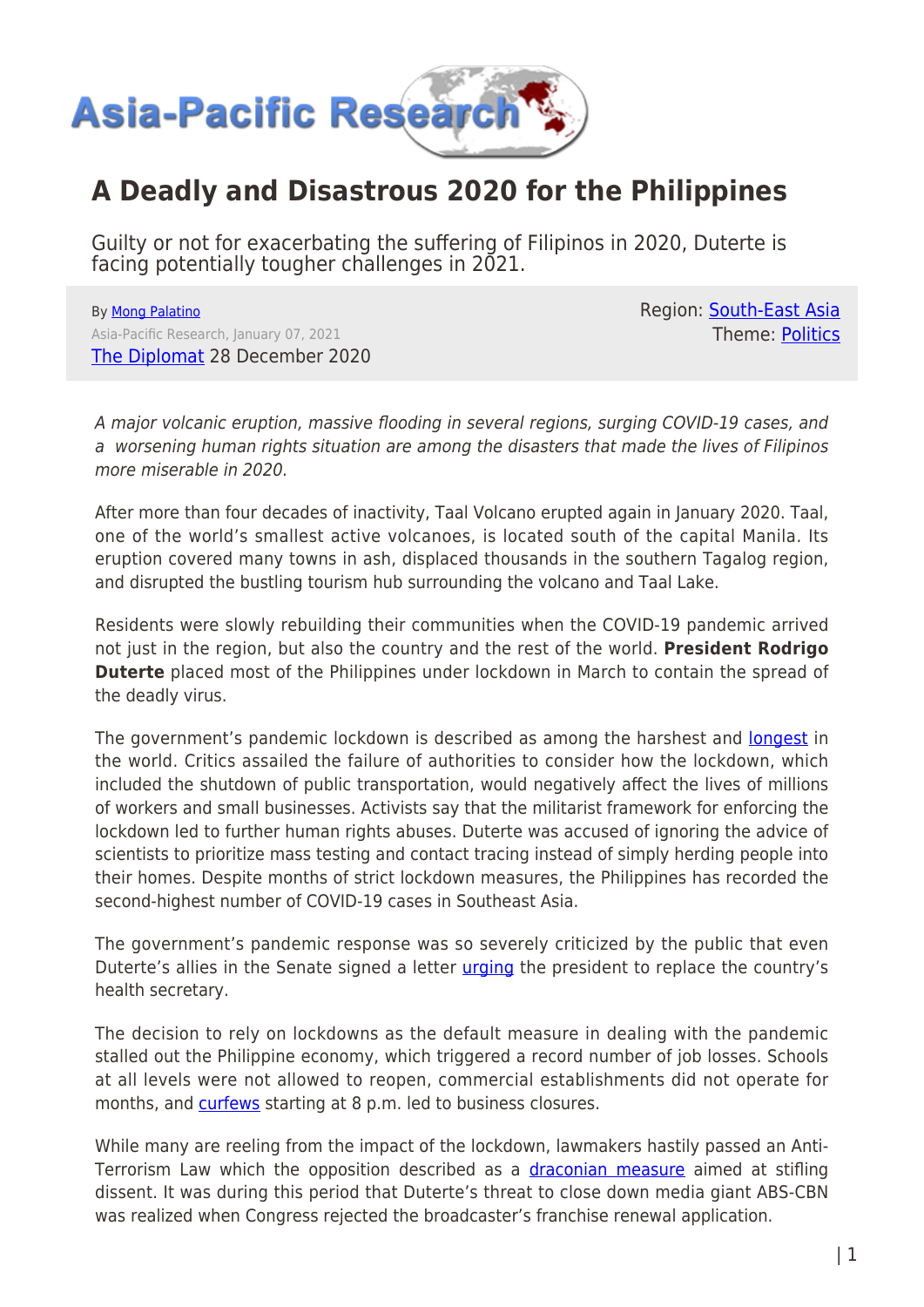

## **A Deadly and Disastrous 2020 for the Philippines**

Guilty or not for exacerbating the suffering of Filipinos in 2020, Duterte is facing potentially tougher challenges in 2021.

By [Mong Palatino](https://www.asia-pacificresearch.com/author/mong-palatino) Asia-Pacific Research, January 07, 2021 [The Diplomat](https://thediplomat.com/2020/12/a-deadly-and-disastrous-2020-for-the-philippines/) 28 December 2020 Region: [South-East Asia](https://www.asia-pacificresearch.com/region/south-east-asia) Theme: [Politics](https://www.asia-pacificresearch.com/theme/politics)

A major volcanic eruption, massive flooding in several regions, surging COVID-19 cases, and a worsening human rights situation are among the disasters that made the lives of Filipinos more miserable in 2020.

After more than four decades of inactivity, Taal Volcano erupted again in January 2020. Taal, one of the world's smallest active volcanoes, is located south of the capital Manila. Its eruption covered many towns in ash, displaced thousands in the southern Tagalog region, and disrupted the bustling tourism hub surrounding the volcano and Taal Lake.

Residents were slowly rebuilding their communities when the COVID-19 pandemic arrived not just in the region, but also the country and the rest of the world. **President Rodrigo Duterte** placed most of the Philippines under lockdown in March to contain the spread of the deadly virus.

The government's pandemic lockdown is described as among the harshest and [longest](https://newsinfo.inquirer.net/1340659/longest-lockdown-lost-opportunities-300k-cases) in the world. Critics assailed the failure of authorities to consider how the lockdown, which included the shutdown of public transportation, would negatively affect the lives of millions of workers and small businesses. Activists say that the militarist framework for enforcing the lockdown led to further human rights abuses. Duterte was accused of ignoring the advice of scientists to prioritize mass testing and contact tracing instead of simply herding people into their homes. Despite months of strict lockdown measures, the Philippines has recorded the second-highest number of COVID-19 cases in Southeast Asia.

The government's pandemic response was so severely criticized by the public that even Duterte's allies in the Senate signed a letter *[urging](https://thediplomat.com/2020/04/what-is-bogging-down-the-philippines-covid-19-response/)* the president to replace the country's health secretary.

The decision to rely on lockdowns as the default measure in dealing with the pandemic stalled out the Philippine economy, which triggered a record number of job losses. Schools at all levels were not allowed to reopen, commercial establishments did not operate for months, and [curfews](https://opinion.inquirer.net/129000/allow-people-the-freedom-to-earn-a-living) starting at 8 p.m. led to business closures.

While many are reeling from the impact of the lockdown, lawmakers hastily passed an Anti-Terrorism Law which the opposition described as a [draconian measure](https://thediplomat.com/2020/07/how-dutertes-anti-terror-law-unleashed-public-outrage-against-his-leadership/) aimed at stifling dissent. It was during this period that Duterte's threat to close down media giant ABS-CBN was realized when Congress rejected the broadcaster's franchise renewal application.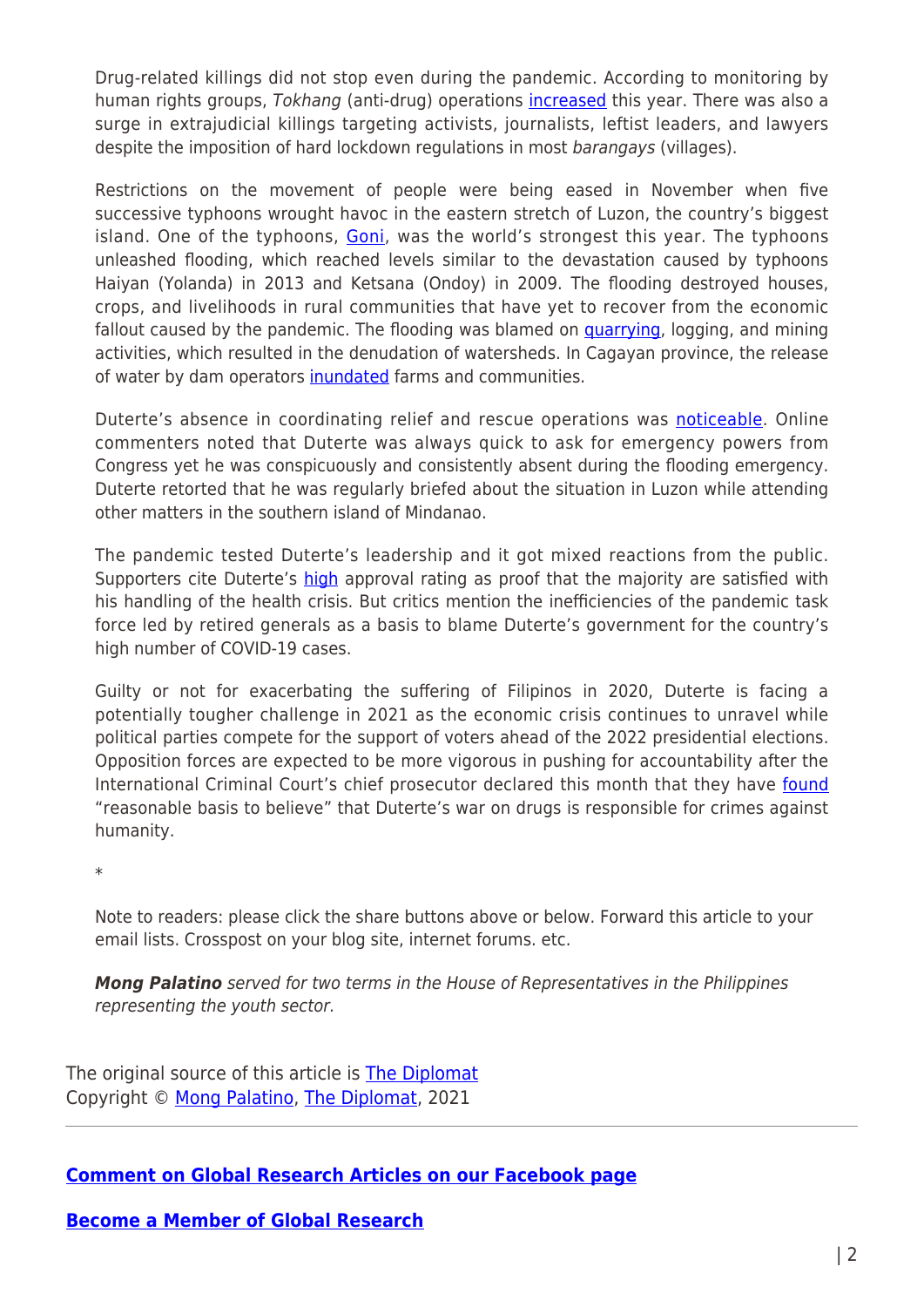Drug-related killings did not stop even during the pandemic. According to monitoring by human rights groups, Tokhang (anti-drug) operations *[increased](https://www.hrw.org/news/2020/09/08/killings-philippines-50-percent-during-pandemic)* this year. There was also a surge in extrajudicial killings targeting activists, journalists, leftist leaders, and lawyers despite the imposition of hard lockdown regulations in most barangays (villages).

Restrictions on the movement of people were being eased in November when five successive typhoons wrought havoc in the eastern stretch of Luzon, the country's biggest island. One of the typhoons, [Goni](https://edition.cnn.com/2020/11/01/asia/philippines-super-typhoon-goni-landfall-intl-hnk/index.html#:~:text=Super%20typhoon%20Goni%20slams%20the%20Philippines&text=At%20least%2010%20people%20died,an%20initial%20government%20report%20showed.), was the world's strongest this year. The typhoons unleashed flooding, which reached levels similar to the devastation caused by typhoons Haiyan (Yolanda) in 2013 and Ketsana (Ondoy) in 2009. The flooding destroyed houses, crops, and livelihoods in rural communities that have yet to recover from the economic fallout caused by the pandemic. The flooding was blamed on **quarrying**, logging, and mining activities, which resulted in the denudation of watersheds. In Cagayan province, the release of water by dam operators *inundated* farms and communities.

Duterte's absence in coordinating relief and rescue operations was **noticeable**. Online commenters noted that Duterte was always quick to ask for emergency powers from Congress yet he was conspicuously and consistently absent during the flooding emergency. Duterte retorted that he was regularly briefed about the situation in Luzon while attending other matters in the southern island of Mindanao.

The pandemic tested Duterte's leadership and it got mixed reactions from the public. Supporters cite Duterte's [high](https://thediplomat.com/2020/10/why-is-rodrigo-duterte-still-popular-in-the-philippines/) approval rating as proof that the majority are satisfied with his handling of the health crisis. But critics mention the inefficiencies of the pandemic task force led by retired generals as a basis to blame Duterte's government for the country's high number of COVID-19 cases.

Guilty or not for exacerbating the suffering of Filipinos in 2020, Duterte is facing a potentially tougher challenge in 2021 as the economic crisis continues to unravel while political parties compete for the support of voters ahead of the 2022 presidential elections. Opposition forces are expected to be more vigorous in pushing for accountability after the International Criminal Court's chief prosecutor declared this month that they have [found](https://www.scmp.com/week-asia/politics/article/3114056/dutertes-war-drugs-icc-sees-reasonable-basis-crime-against) "reasonable basis to believe" that Duterte's war on drugs is responsible for crimes against humanity.

\*

Note to readers: please click the share buttons above or below. Forward this article to your email lists. Crosspost on your blog site, internet forums. etc.

*Mong Palatino* served for two terms in the House of Representatives in the Philippines representing the youth sector.

The original source of this article is **[The Diplomat](https://thediplomat.com/2020/12/a-deadly-and-disastrous-2020-for-the-philippines/)** Copyright © [Mong Palatino](https://www.asia-pacificresearch.com/author/mong-palatino), [The Diplomat,](https://thediplomat.com/2020/12/a-deadly-and-disastrous-2020-for-the-philippines/) 2021

## **[Comment on Global Research Articles on our Facebook page](https://www.facebook.com/GlobalResearchCRG)**

**[Become a Member of Global Research](https://store.globalresearch.ca/member/)**